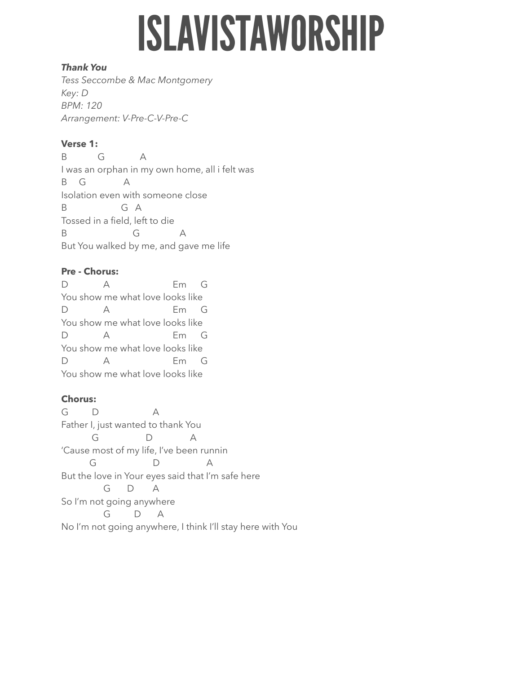# **ISLAVISTAWORSHIP**

## *Thank You*

*Tess Seccombe & Mac Montgomery Key: D BPM: 120 Arrangement: V-Pre-C-V-Pre-C* 

# **Verse 1:**

B G A I was an orphan in my own home, all i felt was B G A Isolation even with someone close B G A Tossed in a field, left to die B G A But You walked by me, and gave me life

# **Pre - Chorus:**

D A Em G You show me what love looks like D A Em G You show me what love looks like D A Em G You show me what love looks like D A Em G You show me what love looks like

# **Chorus:**

G D A Father I, just wanted to thank You G D A 'Cause most of my life, I've been runnin G D A But the love in Your eyes said that I'm safe here G D A So I'm not going anywhere G D A No I'm not going anywhere, I think I'll stay here with You